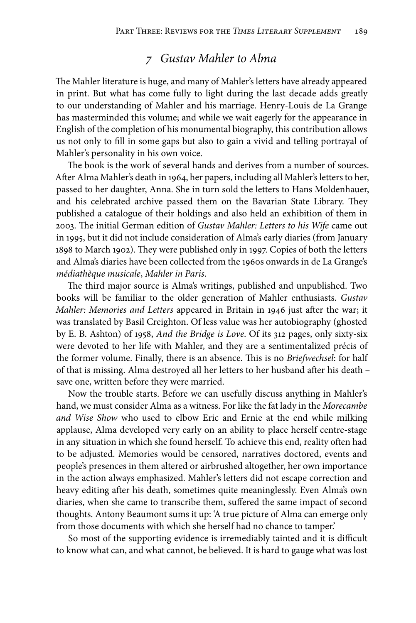## *7 Gustav Mahler to Alma*

The Mahler literature is huge, and many of Mahler's letters have already appeared in print. But what has come fully to light during the last decade adds greatly to our understanding of Mahler and his marriage. Henry-Louis de La Grange has masterminded this volume; and while we wait eagerly for the appearance in English of the completion of his monumental biography, this contribution allows us not only to fill in some gaps but also to gain a vivid and telling portrayal of Mahler's personality in his own voice.

The book is the work of several hands and derives from a number of sources. After Alma Mahler's death in 1964, her papers, including all Mahler's letters to her, passed to her daughter, Anna. She in turn sold the letters to Hans Moldenhauer, and his celebrated archive passed them on the Bavarian State Library. They published a catalogue of their holdings and also held an exhibition of them in 2003. The initial German edition of *Gustav Mahler: Letters to his Wife* came out in 1995, but it did not include consideration of Alma's early diaries (from January 1898 to March 1902). They were published only in 1997. Copies of both the letters and Alma's diaries have been collected from the 1960s onwards in de La Grange's *médiathèque musicale*, *Mahler in Paris*.

The third major source is Alma's writings, published and unpublished. Two books will be familiar to the older generation of Mahler enthusiasts. *Gustav Mahler: Memories and Letters* appeared in Britain in 1946 just after the war; it was translated by Basil Creighton. Of less value was her autobiography (ghosted by E. B. Ashton) of 1958, *And the Bridge is Love*. Of its 312 pages, only sixty-six were devoted to her life with Mahler, and they are a sentimentalized précis of the former volume. Finally, there is an absence. This is no *Briefwechsel*: for half of that is missing. Alma destroyed all her letters to her husband after his death – save one, written before they were married.

Now the trouble starts. Before we can usefully discuss anything in Mahler's hand, we must consider Alma as a witness. For like the fat lady in the *Morecambe and Wise Show* who used to elbow Eric and Ernie at the end while milking applause, Alma developed very early on an ability to place herself centre-stage in any situation in which she found herself. To achieve this end, reality often had to be adjusted. Memories would be censored, narratives doctored, events and people's presences in them altered or airbrushed altogether, her own importance in the action always emphasized. Mahler's letters did not escape correction and heavy editing after his death, sometimes quite meaninglessly. Even Alma's own diaries, when she came to transcribe them, suffered the same impact of second thoughts. Antony Beaumont sums it up: 'A true picture of Alma can emerge only from those documents with which she herself had no chance to tamper.'

So most of the supporting evidence is irremediably tainted and it is difficult to know what can, and what cannot, be believed. It is hard to gauge what was lost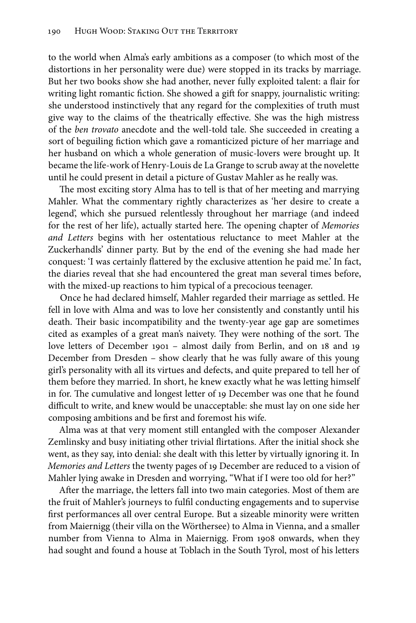to the world when Alma's early ambitions as a composer (to which most of the distortions in her personality were due) were stopped in its tracks by marriage. But her two books show she had another, never fully exploited talent: a flair for writing light romantic fiction. She showed a gift for snappy, journalistic writing: she understood instinctively that any regard for the complexities of truth must give way to the claims of the theatrically effective. She was the high mistress of the *ben trovato* anecdote and the well-told tale. She succeeded in creating a sort of beguiling fiction which gave a romanticized picture of her marriage and her husband on which a whole generation of music-lovers were brought up. It became the life-work of Henry-Louis de La Grange to scrub away at the novelette until he could present in detail a picture of Gustav Mahler as he really was.

The most exciting story Alma has to tell is that of her meeting and marrying Mahler. What the commentary rightly characterizes as 'her desire to create a legend', which she pursued relentlessly throughout her marriage (and indeed for the rest of her life), actually started here. The opening chapter of *Memories and Letters* begins with her ostentatious reluctance to meet Mahler at the Zuckerhandls' dinner party. But by the end of the evening she had made her conquest: 'I was certainly flattered by the exclusive attention he paid me.' In fact, the diaries reveal that she had encountered the great man several times before, with the mixed-up reactions to him typical of a precocious teenager.

Once he had declared himself, Mahler regarded their marriage as settled. He fell in love with Alma and was to love her consistently and constantly until his death. Their basic incompatibility and the twenty-year age gap are sometimes cited as examples of a great man's naivety. They were nothing of the sort. The love letters of December 1901 – almost daily from Berlin, and on 18 and 19 December from Dresden – show clearly that he was fully aware of this young girl's personality with all its virtues and defects, and quite prepared to tell her of them before they married. In short, he knew exactly what he was letting himself in for. The cumulative and longest letter of 19 December was one that he found difficult to write, and knew would be unacceptable: she must lay on one side her composing ambitions and be first and foremost his wife.

Alma was at that very moment still entangled with the composer Alexander Zemlinsky and busy initiating other trivial flirtations. After the initial shock she went, as they say, into denial: she dealt with this letter by virtually ignoring it. In *Memories and Letters* the twenty pages of 19 December are reduced to a vision of Mahler lying awake in Dresden and worrying, "What if I were too old for her?"

After the marriage, the letters fall into two main categories. Most of them are the fruit of Mahler's journeys to fulfil conducting engagements and to supervise first performances all over central Europe. But a sizeable minority were written from Maiernigg (their villa on the Wörthersee) to Alma in Vienna, and a smaller number from Vienna to Alma in Maiernigg. From 1908 onwards, when they had sought and found a house at Toblach in the South Tyrol, most of his letters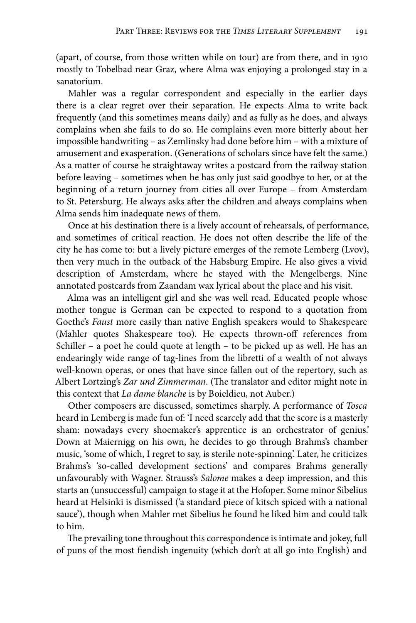(apart, of course, from those written while on tour) are from there, and in 1910 mostly to Tobelbad near Graz, where Alma was enjoying a prolonged stay in a sanatorium.

Mahler was a regular correspondent and especially in the earlier days there is a clear regret over their separation. He expects Alma to write back frequently (and this sometimes means daily) and as fully as he does, and always complains when she fails to do so. He complains even more bitterly about her impossible handwriting – as Zemlinsky had done before him – with a mixture of amusement and exasperation. (Generations of scholars since have felt the same.) As a matter of course he straightaway writes a postcard from the railway station before leaving – sometimes when he has only just said goodbye to her, or at the beginning of a return journey from cities all over Europe – from Amsterdam to St. Petersburg. He always asks after the children and always complains when Alma sends him inadequate news of them.

Once at his destination there is a lively account of rehearsals, of performance, and sometimes of critical reaction. He does not often describe the life of the city he has come to: but a lively picture emerges of the remote Lemberg (Lvov), then very much in the outback of the Habsburg Empire. He also gives a vivid description of Amsterdam, where he stayed with the Mengelbergs. Nine annotated postcards from Zaandam wax lyrical about the place and his visit.

Alma was an intelligent girl and she was well read. Educated people whose mother tongue is German can be expected to respond to a quotation from Goethe's *Faust* more easily than native English speakers would to Shakespeare (Mahler quotes Shakespeare too). He expects thrown-off references from Schiller – a poet he could quote at length – to be picked up as well. He has an endearingly wide range of tag-lines from the libretti of a wealth of not always well-known operas, or ones that have since fallen out of the repertory, such as Albert Lortzing's *Zar und Zimmerman*. (The translator and editor might note in this context that *La dame blanche* is by Boieldieu, not Auber.)

Other composers are discussed, sometimes sharply. A performance of *Tosca*  heard in Lemberg is made fun of: 'I need scarcely add that the score is a masterly sham: nowadays every shoemaker's apprentice is an orchestrator of genius.' Down at Maiernigg on his own, he decides to go through Brahms's chamber music, 'some of which, I regret to say, is sterile note-spinning'. Later, he criticizes Brahms's 'so-called development sections' and compares Brahms generally unfavourably with Wagner. Strauss's *Salome* makes a deep impression, and this starts an (unsuccessful) campaign to stage it at the Hofoper. Some minor Sibelius heard at Helsinki is dismissed ('a standard piece of kitsch spiced with a national sauce'), though when Mahler met Sibelius he found he liked him and could talk to him.

The prevailing tone throughout this correspondence is intimate and jokey, full of puns of the most fiendish ingenuity (which don't at all go into English) and